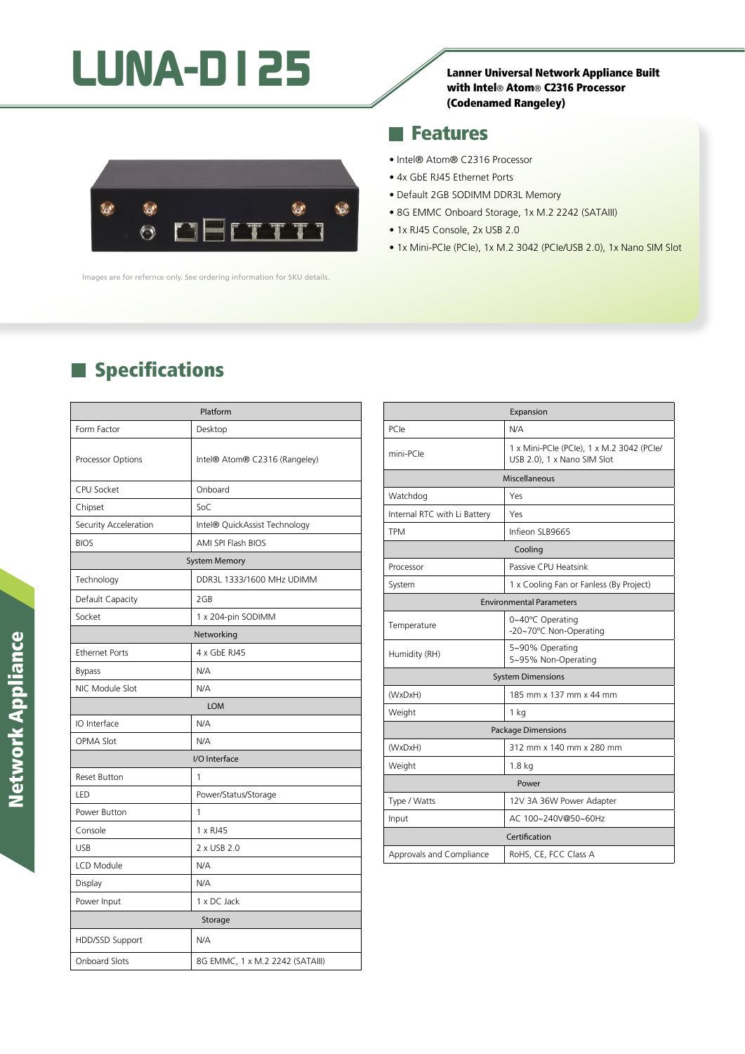# LUNA-D125

## with Intel® Atom® C2316 Processor (Codenamed Rangeley)



lmages are for refernce only. See ordering information for SKU details.

### **Features**

- Intel® Atom® C2316 Processor
- 4x GbE RJ45 Ethernet Ports
- Default 2GB SODIMM DDR3L Memory
- 8G EMMC Onboard Storage, 1x M.2 2242 (SATAIII)
- 1x RJ45 Console, 2x USB 2.0
- 1x Mini-PCIe (PCIe), 1x M.2 3042 (PCIe/USB 2.0), 1x Nano SIM Slot

# **Specifications**

| Platform              |                                 |
|-----------------------|---------------------------------|
| Form Factor           | Desktop                         |
| Processor Options     | Intel® Atom® C2316 (Rangeley)   |
| CPU Socket            | Onboard                         |
| Chipset               | SoC                             |
| Security Acceleration | Intel® QuickAssist Technology   |
| <b>BIOS</b>           | AMI SPI Flash BIOS              |
| <b>System Memory</b>  |                                 |
| Technology            | DDR3L 1333/1600 MHz UDIMM       |
| Default Capacity      | 2GB                             |
| Socket                | 1 x 204-pin SODIMM              |
| Networking            |                                 |
| <b>Ethernet Ports</b> | 4 x GbE RJ45                    |
| <b>Bypass</b>         | N/A                             |
| NIC Module Slot       | N/A                             |
| <b>LOM</b>            |                                 |
| IO Interface          | N/A                             |
| <b>OPMA Slot</b>      | N/A                             |
| I/O Interface         |                                 |
| <b>Reset Button</b>   | 1                               |
| LED                   | Power/Status/Storage            |
| Power Button          | 1                               |
| Console               | 1 x RJ45                        |
| <b>USB</b>            | 2 x USB 2.0                     |
| <b>LCD Module</b>     | N/A                             |
| Display               | N/A                             |
| Power Input           | 1 x DC Jack                     |
| Storage               |                                 |
| HDD/SSD Support       | N/A                             |
| <b>Onboard Slots</b>  | 8G EMMC, 1 x M.2 2242 (SATAIII) |

| Expansion                       |                                                                          |  |
|---------------------------------|--------------------------------------------------------------------------|--|
| PCIe                            | N/A                                                                      |  |
| mini-PCle                       | 1 x Mini-PCIe (PCIe), 1 x M.2 3042 (PCIe/<br>USB 2.0), 1 x Nano SIM Slot |  |
| Miscellaneous                   |                                                                          |  |
| Watchdog                        | Yes                                                                      |  |
| Internal RTC with Li Battery    | Yes                                                                      |  |
| <b>TPM</b>                      | Infieon SLB9665                                                          |  |
| Cooling                         |                                                                          |  |
| Processor                       | Passive CPU Heatsink                                                     |  |
| System                          | 1 x Cooling Fan or Fanless (By Project)                                  |  |
| <b>Environmental Parameters</b> |                                                                          |  |
| Temperature                     | 0~40°C Operating<br>-20~70°C Non-Operating                               |  |
| Humidity (RH)                   | 5~90% Operating<br>5~95% Non-Operating                                   |  |
| <b>System Dimensions</b>        |                                                                          |  |
| (WxDxH)                         | 185 mm x 137 mm x 44 mm                                                  |  |
| Weight                          | 1 kg                                                                     |  |
| <b>Package Dimensions</b>       |                                                                          |  |
| (WxDxH)                         | 312 mm x 140 mm x 280 mm                                                 |  |
| Weight                          | 1.8 <sub>kq</sub>                                                        |  |
| Power                           |                                                                          |  |
| Type / Watts                    | 12V 3A 36W Power Adapter                                                 |  |
| Input                           | AC 100~240V@50~60Hz                                                      |  |
| Certification                   |                                                                          |  |
| Approvals and Compliance        | RoHS, CE, FCC Class A                                                    |  |